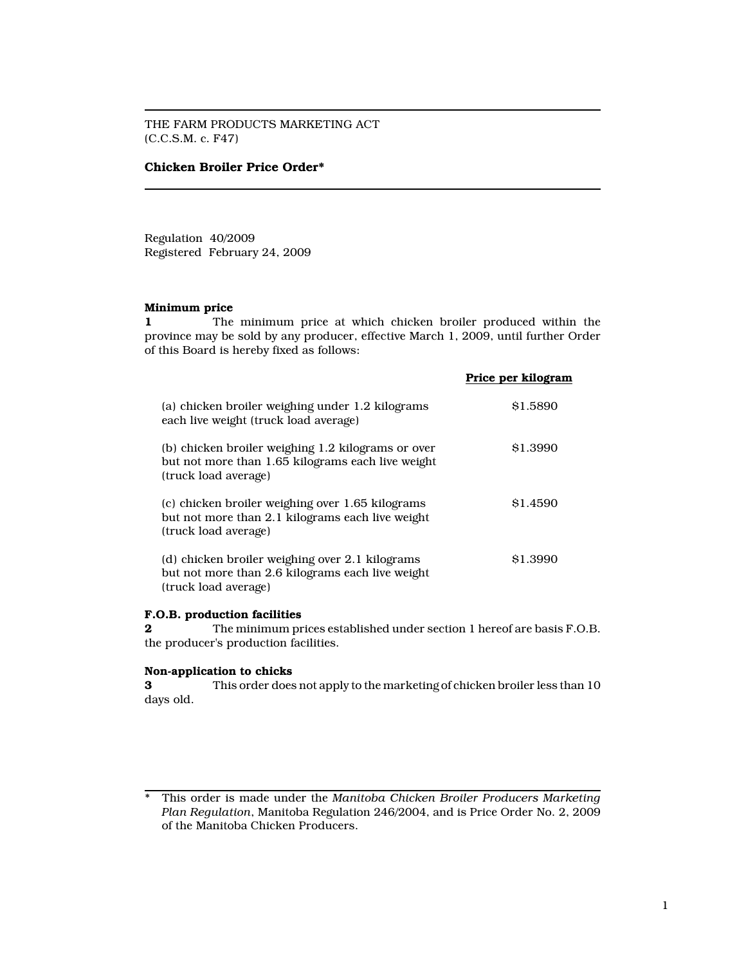THE FARM PRODUCTS MARKETING ACT (C.C.S.M. c. F47)

## Chicken Broiler Price Order\*

Regulation 40/2009 Registered February 24, 2009

## Minimum price

1 The minimum price at which chicken broiler produced within the province may be sold by any producer, effective March 1, 2009, until further Order of this Board is hereby fixed as follows:

|                                                                                                                                 | Price per kilogram |
|---------------------------------------------------------------------------------------------------------------------------------|--------------------|
| (a) chicken broiler weighing under 1.2 kilograms<br>each live weight (truck load average)                                       | \$1.5890           |
| (b) chicken broiler weighing 1.2 kilograms or over<br>but not more than 1.65 kilograms each live weight<br>(truck load average) | \$1.3990           |
| (c) chicken broiler weighing over 1.65 kilograms<br>but not more than 2.1 kilograms each live weight<br>(truck load average)    | \$1.4590           |
| (d) chicken broiler weighing over 2.1 kilograms<br>but not more than 2.6 kilograms each live weight<br>(truck load average)     | \$1.3990           |

### F.O.B. production facilities

2 The minimum prices established under section 1 hereof are basis F.O.B. the producer's production facilities.

### Non-application to chicks

3 This order does not apply to the marketing of chicken broiler less than 10 days old.

<sup>\*</sup> This order is made under the Manitoba Chicken Broiler Producers Marketing Plan Regulation, Manitoba Regulation 246/2004, and is Price Order No. 2, 2009 of the Manitoba Chicken Producers.